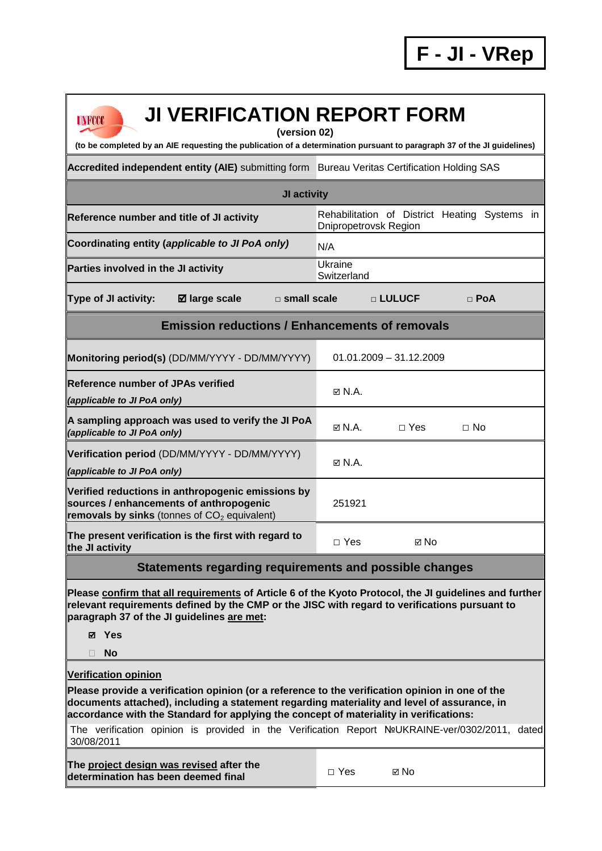| <b>UNFCCC</b> |
|---------------|
|               |

## **JI VERIFICATION REPORT FORM**

**(version 02)** 

**(to be completed by an AIE requesting the publication of a determination pursuant to paragraph 37 of the JI guidelines)** 

Accredited independent entity (AIE) submitting form Bureau Veritas Certification Holding SAS

| JI activity                                                                                                                                                                                                                                           |                                                                        |  |  |  |  |  |
|-------------------------------------------------------------------------------------------------------------------------------------------------------------------------------------------------------------------------------------------------------|------------------------------------------------------------------------|--|--|--|--|--|
| Reference number and title of JI activity                                                                                                                                                                                                             | Rehabilitation of District Heating Systems in<br>Dnipropetrovsk Region |  |  |  |  |  |
| Coordinating entity (applicable to JI PoA only)                                                                                                                                                                                                       | N/A                                                                    |  |  |  |  |  |
| Parties involved in the JI activity                                                                                                                                                                                                                   | Ukraine<br>Switzerland                                                 |  |  |  |  |  |
| Type of JI activity:<br>☑ large scale<br>$\square$ small scale                                                                                                                                                                                        | <b>D LULUCF</b><br>$\Box$ PoA                                          |  |  |  |  |  |
| <b>Emission reductions / Enhancements of removals</b>                                                                                                                                                                                                 |                                                                        |  |  |  |  |  |
| Monitoring period(s) (DD/MM/YYYY - DD/MM/YYYY)                                                                                                                                                                                                        | $01.01.2009 - 31.12.2009$                                              |  |  |  |  |  |
| <b>Reference number of JPAs verified</b><br>(applicable to JI PoA only)                                                                                                                                                                               | $\boxtimes$ N.A.                                                       |  |  |  |  |  |
| A sampling approach was used to verify the JI PoA<br>(applicable to JI PoA only)                                                                                                                                                                      | M N.A.<br>$\Box$ Yes<br>$\Box$ No                                      |  |  |  |  |  |
| Verification period (DD/MM/YYYY - DD/MM/YYYY)<br>(applicable to JI PoA only)                                                                                                                                                                          | $\boxtimes$ N.A.                                                       |  |  |  |  |  |
| Verified reductions in anthropogenic emissions by<br>sources / enhancements of anthropogenic<br>removals by sinks (tonnes of $CO2$ equivalent)                                                                                                        | 251921                                                                 |  |  |  |  |  |
| The present verification is the first with regard to<br>the JI activity                                                                                                                                                                               | $\Box$ Yes<br><b>ল No</b>                                              |  |  |  |  |  |
| <b>Statements regarding requirements and possible changes</b>                                                                                                                                                                                         |                                                                        |  |  |  |  |  |
| Please confirm that all requirements of Article 6 of the Kyoto Protocol, the JI guidelines and further<br>relevant requirements defined by the CMP or the JISC with regard to verifications pursuant to<br>paragraph 37 of the JI guidelines are met: |                                                                        |  |  |  |  |  |

- **Yes**
- **No**

**Verification opinion**

**Please provide a verification opinion (or a reference to the verification opinion in one of the documents attached), including a statement regarding materiality and level of assurance, in accordance with the Standard for applying the concept of materiality in verifications:** 

The verification opinion is provided in the Verification Report №UKRAINE-ver/0302/2011, dated 30/08/2011

**The project design was revised after the determination has been deemed final** □ Yes 
□ No